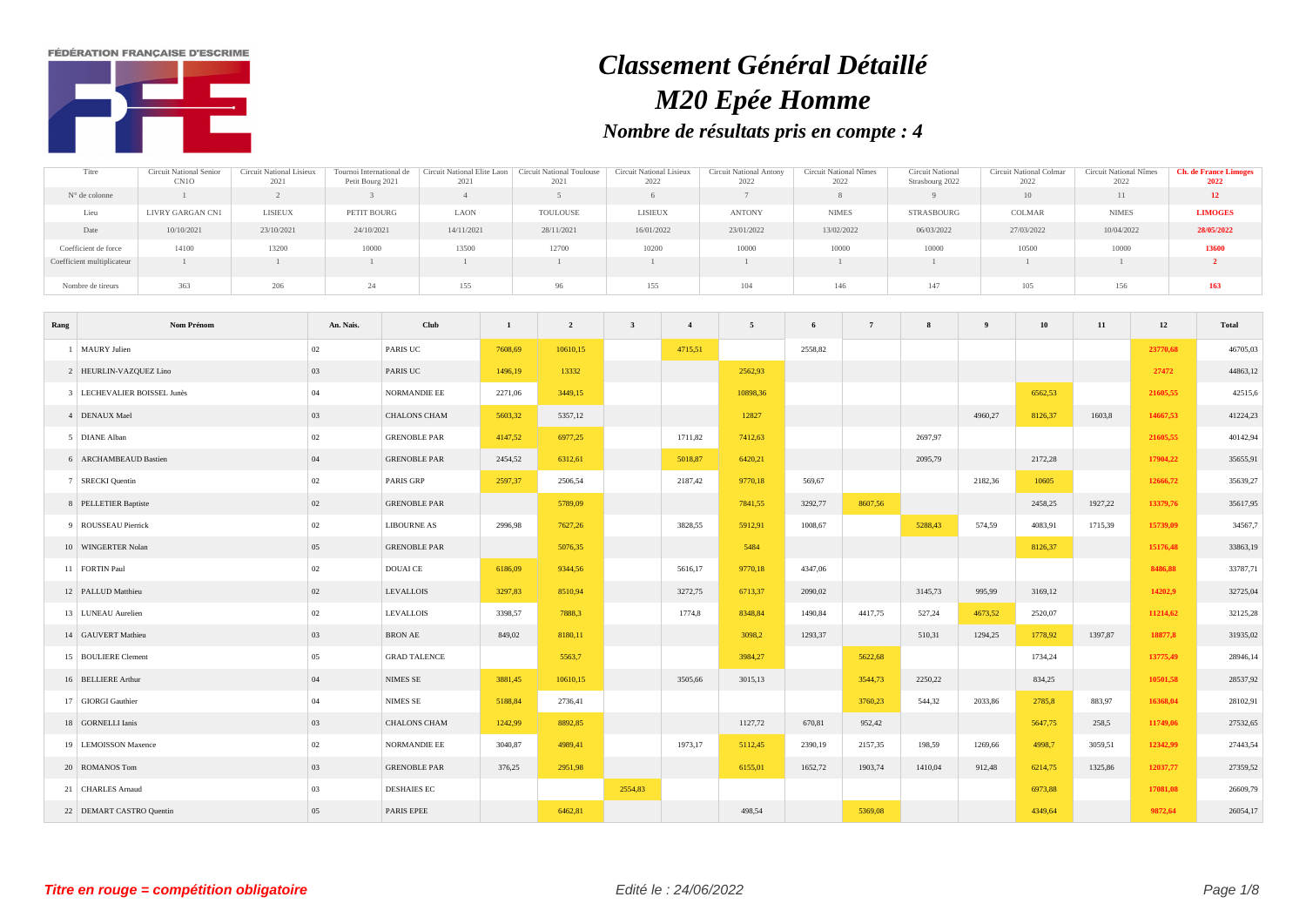**FÉDÉRATION FRANCAISE D'ESCRIME** 



## *Classement Général Détaillé M20 Epée Homme Nombre de résultats pris en compte : 4*

| Titre                      | Circuit National Senior | Circuit National Lisieux | Tournoi International de | Circuit National Elite Laon | Circuit National Toulouse | Circuit National Lisieux | Circuit National Antony | Circuit National Nîmes | <b>Circuit National</b> | Circuit National Colmar | Circuit National Nîmes | <b>Ch. de France Limoges</b> |
|----------------------------|-------------------------|--------------------------|--------------------------|-----------------------------|---------------------------|--------------------------|-------------------------|------------------------|-------------------------|-------------------------|------------------------|------------------------------|
|                            | CN10                    | 2021                     | Petit Bourg 2021         | 2021                        | 2021                      | 2022                     | 2022                    | 2022                   | Strasbourg 2022         | 2022                    | 2022                   | 2022                         |
| N° de colonne              |                         |                          |                          |                             |                           |                          |                         |                        |                         | 10                      |                        | <b>12</b>                    |
| Lieu                       | LIVRY GARGAN CN1        | LISIEUX                  | PETIT BOURG              | <b>LAON</b>                 | TOULOUSE                  | <b>LISIEUX</b>           | <b>ANTONY</b>           | <b>NIMES</b>           | STRASBOURG              | COLMAR                  | <b>NIMES</b>           | <b>LIMOGES</b>               |
| Date                       | 10/10/2021              | 23/10/2021               | 24/10/2021               | 14/11/2021                  | 28/11/2021                | 16/01/2022               | 23/01/2022              | 13/02/2022             | 06/03/2022              | 27/03/2022              | 10/04/2022             | 28/05/2022                   |
| Coefficient de force       | 14100                   | 13200                    | 10000                    | 13500                       | 12700                     | 10200                    | 10000                   | 10000                  | 10000                   | 10500                   | 10000                  | 13600                        |
| Coefficient multiplicateur |                         |                          |                          |                             |                           |                          |                         |                        |                         |                         |                        |                              |
| Nombre de tireurs          | 363                     | 206                      |                          | 155                         | 96                        | 155                      | 104                     | 146                    | 147                     | 105                     | 156                    | 163                          |

| Rang | Nom Prénom                  | An. Nais. | Club                | $\mathbf{1}$ | $\overline{2}$ | $\mathbf{3}$ | $\overline{4}$ | 5        | 6       | 7       | 8       | $\overline{9}$ | 10      | 11      | 12       | Total    |
|------|-----------------------------|-----------|---------------------|--------------|----------------|--------------|----------------|----------|---------|---------|---------|----------------|---------|---------|----------|----------|
|      | 1 MAURY Julien              | 02        | PARIS UC            | 7608,69      | 10610,15       |              | 4715,51        |          | 2558,82 |         |         |                |         |         | 23770,68 | 46705,03 |
|      | 2 HEURLIN-VAZQUEZ Lino      | 03        | PARIS UC            | 1496,19      | 13332          |              |                | 2562,93  |         |         |         |                |         |         | 27472    | 44863,12 |
|      | 3 LECHEVALIER BOISSEL Junès | 04        | NORMANDIE EE        | 2271,06      | 3449,15        |              |                | 10898,36 |         |         |         |                | 6562,53 |         | 21605,55 | 42515,6  |
|      | 4 DENAUX Mael               | 03        | <b>CHALONS CHAM</b> | 5603,32      | 5357,12        |              |                | 12827    |         |         |         | 4960,27        | 8126,37 | 1603,8  | 14667,53 | 41224,23 |
|      | 5 DIANE Alban               | 02        | <b>GRENOBLE PAR</b> | 4147,52      | 6977,25        |              | 1711,82        | 7412,63  |         |         | 2697,97 |                |         |         | 21605,55 | 40142,94 |
|      | 6 ARCHAMBEAUD Bastien       | 04        | <b>GRENOBLE PAR</b> | 2454,52      | 6312,61        |              | 5018,87        | 6420,21  |         |         | 2095,79 |                | 2172,28 |         | 17904,22 | 35655,91 |
|      | 7 SRECKI Quentin            | 02        | PARIS GRP           | 2597,37      | 2506,54        |              | 2187,42        | 9770,18  | 569,67  |         |         | 2182,36        | 10605   |         | 12666,72 | 35639,27 |
|      | 8 PELLETIER Baptiste        | $02\,$    | <b>GRENOBLE PAR</b> |              | 5789,09        |              |                | 7841,55  | 3292,77 | 8607,56 |         |                | 2458,25 | 1927,22 | 13379,76 | 35617,95 |
|      | 9 ROUSSEAU Pierrick         | 02        | <b>LIBOURNE AS</b>  | 2996,98      | 7627,26        |              | 3828,55        | 5912,91  | 1008,67 |         | 5288,43 | 574,59         | 4083,91 | 1715,39 | 15739,09 | 34567,7  |
|      | 10 WINGERTER Nolan          | 05        | <b>GRENOBLE PAR</b> |              | 5076,35        |              |                | 5484     |         |         |         |                | 8126,37 |         | 15176,48 | 33863,19 |
|      | 11 FORTIN Paul              | 02        | DOUAI CE            | 6186,09      | 9344,56        |              | 5616,17        | 9770,18  | 4347,06 |         |         |                |         |         | 8486,88  | 33787,71 |
|      | 12 PALLUD Matthieu          | $02\,$    | <b>LEVALLOIS</b>    | 3297,83      | 8510,94        |              | 3272,75        | 6713,37  | 2090,02 |         | 3145,73 | 995,99         | 3169,12 |         | 14202,9  | 32725,04 |
|      | 13 LUNEAU Aurelien          | 02        | <b>LEVALLOIS</b>    | 3398,57      | 7888.3         |              | 1774,8         | 8348,84  | 1490,84 | 4417,75 | 527,24  | 4673,52        | 2520,07 |         | 11214,62 | 32125,28 |
|      | 14 GAUVERT Mathieu          | 03        | <b>BRON AE</b>      | 849,02       | 8180,11        |              |                | 3098,2   | 1293,37 |         | 510,31  | 1294,25        | 1778,92 | 1397,87 | 18877,8  | 31935,02 |
|      | 15 BOULIERE Clement         | 05        | <b>GRAD TALENCE</b> |              | 5563,7         |              |                | 3984,27  |         | 5622,68 |         |                | 1734,24 |         | 13775,49 | 28946,14 |
|      | 16 BELLIERE Arthur          | 04        | NIMES SE            | 3881,45      | 10610,15       |              | 3505,66        | 3015,13  |         | 3544,73 | 2250,22 |                | 834,25  |         | 10501,58 | 28537,92 |
|      | 17 GIORGI Gauthier          | 04        | <b>NIMES SE</b>     | 5188,84      | 2736,41        |              |                |          |         | 3760,23 | 544,32  | 2033,86        | 2785,8  | 883,97  | 16368,04 | 28102,91 |
|      | 18 GORNELLI Ianis           | 03        | <b>CHALONS CHAM</b> | 1242,99      | 8892,85        |              |                | 1127,72  | 670,81  | 952,42  |         |                | 5647,75 | 258,5   | 11749,06 | 27532,65 |
|      | 19 LEMOISSON Maxence        | $02\,$    | NORMANDIE EE        | 3040,87      | 4989,41        |              | 1973,17        | 5112,45  | 2390,19 | 2157,35 | 198,59  | 1269,66        | 4998.7  | 3059.51 | 12342.99 | 27443,54 |
|      | 20 ROMANOS Tom              | 03        | <b>GRENOBLE PAR</b> | 376,25       | 2951,98        |              |                | 6155,01  | 1652,72 | 1903,74 | 1410,04 | 912,48         | 6214,75 | 1325,86 | 12037,77 | 27359,52 |
|      | 21 CHARLES Arnaud           | 03        | <b>DESHAIES EC</b>  |              |                | 2554,83      |                |          |         |         |         |                | 6973,88 |         | 17081,08 | 26609,79 |
|      | 22 DEMART CASTRO Quentin    | 05        | PARIS EPEE          |              | 6462,81        |              |                | 498,54   |         | 5369,08 |         |                | 4349,64 |         | 9872,64  | 26054,17 |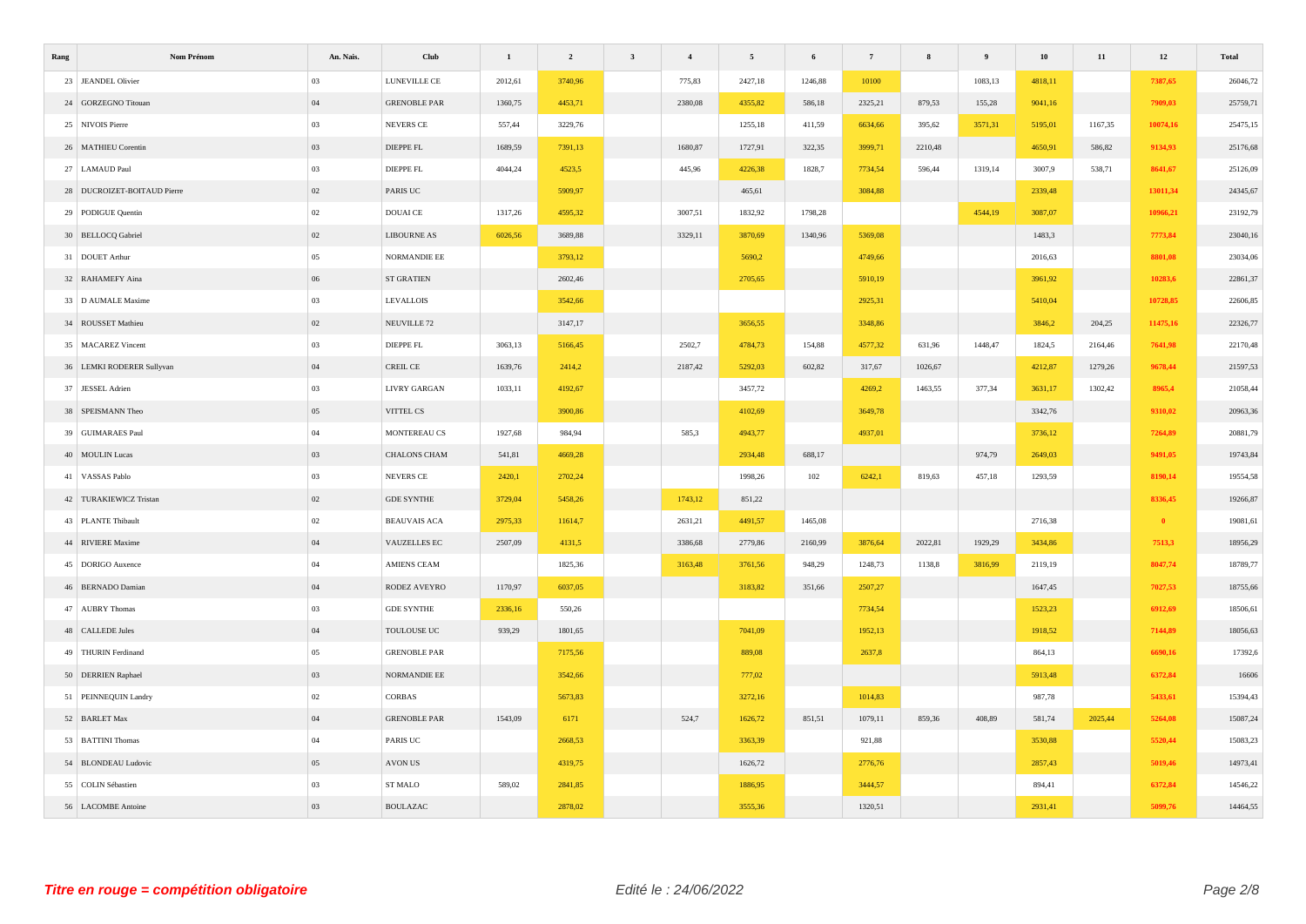| Rang                        | Nom Prénom | An. Nais. | Club                   | $\mathbf{1}$ | $\overline{\mathbf{c}}$ | $\mathbf{3}$ | $\overline{4}$ | $\sqrt{5}$ | $\boldsymbol{6}$ | $7\phantom{.0}$ | $\bf8$  | $\overline{9}$ | $10\,$  | $11\,$  | $\bf{12}$    | Total    |
|-----------------------------|------------|-----------|------------------------|--------------|-------------------------|--------------|----------------|------------|------------------|-----------------|---------|----------------|---------|---------|--------------|----------|
| 23 JEANDEL Olivier          |            | 03        | LUNEVILLE CE           | 2012,61      | 3740,96                 |              | 775,83         | 2427,18    | 1246,88          | 10100           |         | 1083,13        | 4818,11 |         | 7387,65      | 26046,72 |
| 24 GORZEGNO Titouan         |            | 04        | <b>GRENOBLE PAR</b>    | 1360,75      | 4453,71                 |              | 2380,08        | 4355,82    | 586,18           | 2325,21         | 879,53  | 155,28         | 9041,16 |         | 7909,03      | 25759,71 |
| 25 NIVOIS Pierre            |            | 03        | NEVERS CE              | 557,44       | 3229,76                 |              |                | 1255,18    | 411,59           | 6634,66         | 395,62  | 3571,31        | 5195,01 | 1167,35 | 10074,16     | 25475,15 |
| 26 MATHIEU Corentin         |            | 03        | DIEPPE FL              | 1689,59      | 7391,13                 |              | 1680,87        | 1727,91    | 322,35           | 3999,71         | 2210,48 |                | 4650,91 | 586,82  | 9134,93      | 25176,68 |
| 27 LAMAUD Paul              |            | 03        | DIEPPE FL              | 4044,24      | 4523,5                  |              | 445,96         | 4226,38    | 1828,7           | 7734,54         | 596,44  | 1319,14        | 3007,9  | 538,71  | 8641,67      | 25126,09 |
| 28 DUCROIZET-BOITAUD Pierre |            | 02        | PARIS UC               |              | 5909,97                 |              |                | 465,61     |                  | 3084,88         |         |                | 2339,48 |         | 13011,34     | 24345,67 |
| 29 PODIGUE Quentin          |            | $02\,$    | DOUAI CE               | 1317,26      | 4595,32                 |              | 3007,51        | 1832,92    | 1798,28          |                 |         | 4544,19        | 3087,07 |         | 10966,21     | 23192,79 |
| 30 BELLOCQ Gabriel          |            | $02\,$    | <b>LIBOURNE AS</b>     | 6026,56      | 3689,88                 |              | 3329,11        | 3870,69    | 1340,96          | 5369,08         |         |                | 1483,3  |         | 7773,84      | 23040,16 |
| 31 DOUET Arthur             |            | $05\,$    | NORMANDIE EE           |              | 3793,12                 |              |                | 5690,2     |                  | 4749,66         |         |                | 2016,63 |         | 8801,08      | 23034,06 |
| 32 RAHAMEFY Aina            |            | $06\,$    | ST GRATIEN             |              | 2602,46                 |              |                | 2705,65    |                  | 5910,19         |         |                | 3961,92 |         | 10283,6      | 22861,37 |
| 33 D AUMALE Maxime          |            | 03        | <b>LEVALLOIS</b>       |              | 3542,66                 |              |                |            |                  | 2925,31         |         |                | 5410,04 |         | 10728,85     | 22606,85 |
| 34 ROUSSET Mathieu          |            | 02        | NEUVILLE <sub>72</sub> |              | 3147,17                 |              |                | 3656,55    |                  | 3348,86         |         |                | 3846,2  | 204,25  | 11475,16     | 22326,77 |
| 35 MACAREZ Vincent          |            | 03        | DIEPPE FL              | 3063,13      | 5166,45                 |              | 2502,7         | 4784,73    | 154,88           | 4577,32         | 631,96  | 1448,47        | 1824,5  | 2164,46 | 7641,98      | 22170,48 |
| 36 LEMKI RODERER Sullyvan   |            | 04        | CREIL CE               | 1639,76      | 2414,2                  |              | 2187,42        | 5292,03    | 602,82           | 317,67          | 1026,67 |                | 4212,87 | 1279,26 | 9678,44      | 21597,53 |
| 37 JESSEL Adrien            |            | 03        | LIVRY GARGAN           | 1033,11      | 4192,67                 |              |                | 3457,72    |                  | 4269,2          | 1463,55 | 377,34         | 3631,17 | 1302,42 | 8965,4       | 21058,44 |
| 38 SPEISMANN Theo           |            | 05        | VITTEL CS              |              | 3900,86                 |              |                | 4102,69    |                  | 3649,78         |         |                | 3342,76 |         | 9310,02      | 20963,36 |
| 39 GUIMARAES Paul           |            | $04\,$    | MONTEREAU CS           | 1927,68      | 984,94                  |              | 585,3          | 4943,77    |                  | 4937,01         |         |                | 3736,12 |         | 7264,89      | 20881,79 |
| 40 MOULIN Lucas             |            | 03        | CHALONS CHAM           | 541,81       | 4669,28                 |              |                | 2934,48    | 688,17           |                 |         | 974,79         | 2649,03 |         | 9491,05      | 19743,84 |
| 41 VASSAS Pablo             |            | 03        | NEVERS CE              | 2420,1       | 2702,24                 |              |                | 1998,26    | 102              | 6242,1          | 819,63  | 457,18         | 1293,59 |         | 8190,14      | 19554,58 |
| 42 TURAKIEWICZ Tristan      |            | 02        | <b>GDE SYNTHE</b>      | 3729,04      | 5458,26                 |              | 1743,12        | 851,22     |                  |                 |         |                |         |         | 8336,45      | 19266,87 |
| 43 PLANTE Thibault          |            | $02\,$    | <b>BEAUVAIS ACA</b>    | 2975,33      | 11614,7                 |              | 2631,21        | 4491,57    | 1465,08          |                 |         |                | 2716,38 |         | $\mathbf{0}$ | 19081,61 |
| 44 RIVIERE Maxime           |            | $04$      | VAUZELLES EC           | 2507,09      | 4131,5                  |              | 3386,68        | 2779,86    | 2160,99          | 3876,64         | 2022,81 | 1929,29        | 3434,86 |         | 7513,3       | 18956,29 |
| 45 DORIGO Auxence           |            | $04\,$    | AMIENS CEAM            |              | 1825,36                 |              | 3163,48        | 3761,56    | 948,29           | 1248,73         | 1138,8  | 3816,99        | 2119,19 |         | 8047,74      | 18789,77 |
| 46 BERNADO Damian           |            | 04        | RODEZ AVEYRO           | 1170,97      | 6037,05                 |              |                | 3183,82    | 351,66           | 2507,27         |         |                | 1647,45 |         | 7027,53      | 18755,66 |
| 47 AUBRY Thomas             |            | 03        | <b>GDE SYNTHE</b>      | 2336,16      | 550,26                  |              |                |            |                  | 7734,54         |         |                | 1523,23 |         | 6912,69      | 18506,61 |
| 48 CALLEDE Jules            |            | 04        | TOULOUSE UC            | 939,29       | 1801,65                 |              |                | 7041,09    |                  | 1952,13         |         |                | 1918,52 |         | 7144,89      | 18056,63 |
| 49 THURIN Ferdinand         |            | $05\,$    | <b>GRENOBLE PAR</b>    |              | 7175,56                 |              |                | 889,08     |                  | 2637,8          |         |                | 864,13  |         | 6690,16      | 17392,6  |
| 50 DERRIEN Raphael          |            | 03        | NORMANDIE EE           |              | 3542,66                 |              |                | 777,02     |                  |                 |         |                | 5913,48 |         | 6372,84      | 16606    |
| 51 PEINNEQUIN Landry        |            | $02\,$    | CORBAS                 |              | 5673,83                 |              |                | 3272,16    |                  | 1014,83         |         |                | 987,78  |         | 5433,61      | 15394,43 |
| 52 BARLET Max               |            | $04$      | <b>GRENOBLE PAR</b>    | 1543,09      | 6171                    |              | 524,7          | 1626,72    | 851,51           | 1079,11         | 859,36  | 408,89         | 581,74  | 2025,44 | 5264,08      | 15087,24 |
| 53 BATTINI Thomas           |            | 04        | PARIS UC               |              | 2668,53                 |              |                | 3363,39    |                  | 921,88          |         |                | 3530,88 |         | 5520,44      | 15083,23 |
| 54 BLONDEAU Ludovic         |            | 05        | AVON US                |              | 4319,75                 |              |                | 1626,72    |                  | 2776,76         |         |                | 2857,43 |         | 5019,46      | 14973,41 |
| 55 COLIN Sébastien          |            | 03        | <b>ST MALO</b>         | 589,02       | 2841,85                 |              |                | 1886,95    |                  | 3444,57         |         |                | 894,41  |         | 6372,84      | 14546,22 |
| 56 LACOMBE Antoine          |            | 03        | <b>BOULAZAC</b>        |              | 2878,02                 |              |                | 3555,36    |                  | 1320,51         |         |                | 2931,41 |         | 5099,76      | 14464,55 |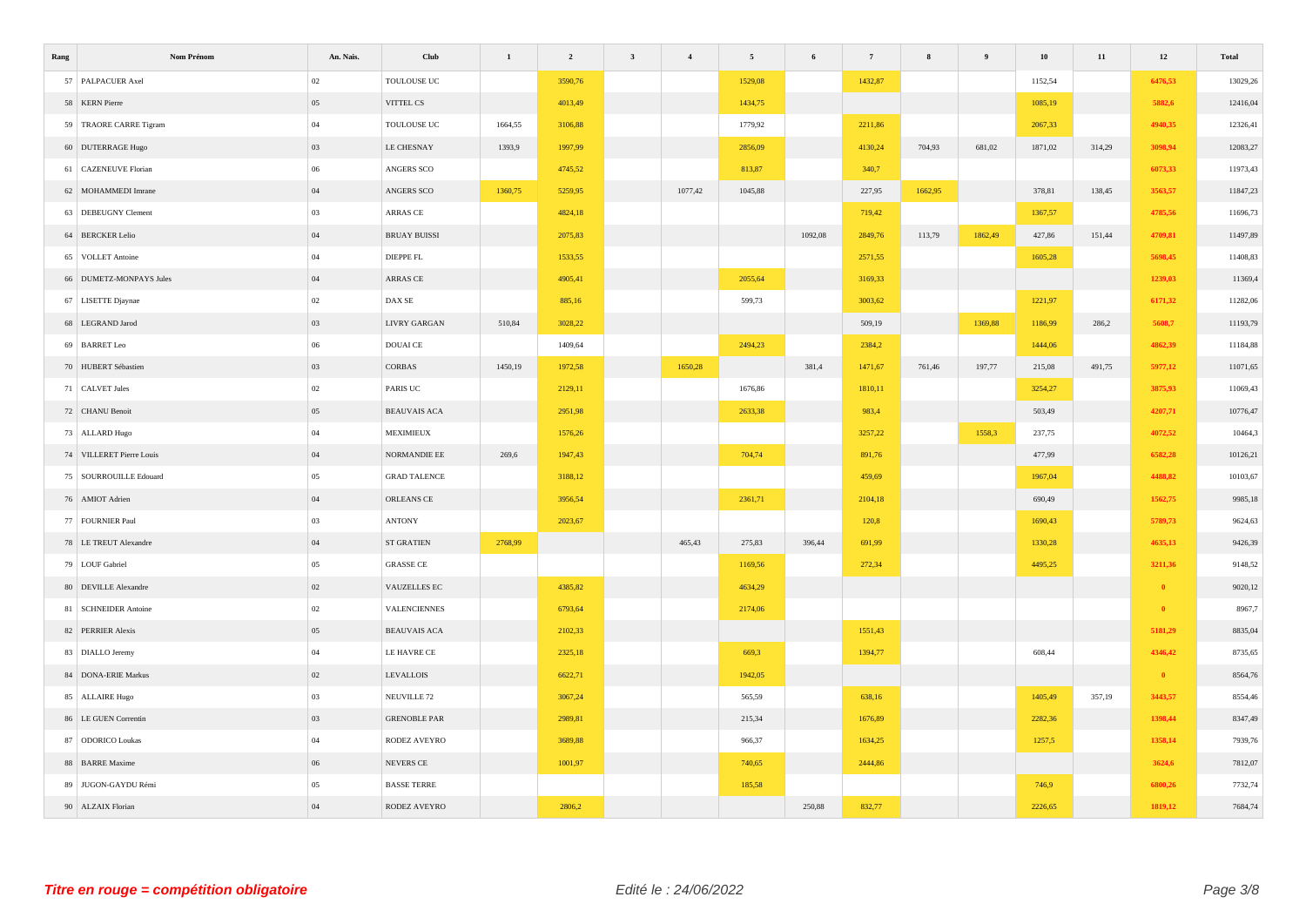| Rang                     | Nom Prénom | An. Nais. | Club                        | $\mathbf{1}$ | $\overline{\mathbf{c}}$ | $\mathbf{3}$ | $\overline{4}$ | 5       | $\bf 6$ | $\scriptstyle\rm 7$ | $\bf8$  | $\overline{9}$ | ${\bf 10}$ | $11\,$ | $\bf{12}$ | Total    |
|--------------------------|------------|-----------|-----------------------------|--------------|-------------------------|--------------|----------------|---------|---------|---------------------|---------|----------------|------------|--------|-----------|----------|
| 57 PALPACUER Axel        |            | $02\,$    | TOULOUSE UC                 |              | 3590,76                 |              |                | 1529,08 |         | 1432,87             |         |                | 1152,54    |        | 6476,53   | 13029,26 |
| 58 KERN Pierre           |            | 05        | VITTEL CS                   |              | 4013,49                 |              |                | 1434,75 |         |                     |         |                | 1085,19    |        | 5882,6    | 12416,04 |
| 59 TRAORE CARRE Tigram   |            | $04\,$    | $\operatorname{TOULOUSEUC}$ | 1664,55      | 3106,88                 |              |                | 1779,92 |         | 2211,86             |         |                | 2067,33    |        | 4940,35   | 12326,41 |
| 60 DUTERRAGE Hugo        |            | 03        | LE CHESNAY                  | 1393,9       | 1997,99                 |              |                | 2856,09 |         | 4130,24             | 704,93  | 681,02         | 1871,02    | 314,29 | 3098,94   | 12083,27 |
| 61 CAZENEUVE Florian     |            | $06\,$    | ANGERS SCO                  |              | 4745,52                 |              |                | 813,87  |         | 340,7               |         |                |            |        | 6073,33   | 11973,43 |
| 62 MOHAMMEDI Imrane      |            | $04\,$    | ANGERS SCO                  | 1360,75      | 5259,95                 |              | 1077,42        | 1045,88 |         | 227,95              | 1662,95 |                | 378,81     | 138,45 | 3563,57   | 11847,23 |
| 63 DEBEUGNY Clement      |            | 03        | ARRAS CE                    |              | 4824,18                 |              |                |         |         | 719,42              |         |                | 1367,57    |        | 4785,56   | 11696,73 |
| 64 BERCKER Lelio         |            | $04\,$    | <b>BRUAY BUISSI</b>         |              | 2075,83                 |              |                |         | 1092,08 | 2849,76             | 113,79  | 1862,49        | 427,86     | 151,44 | 4709,81   | 11497,89 |
| 65 VOLLET Antoine        |            | $04\,$    | DIEPPE FL                   |              | 1533,55                 |              |                |         |         | 2571,55             |         |                | 1605,28    |        | 5698,45   | 11408,83 |
| 66 DUMETZ-MONPAYS Jules  |            | 04        | ARRAS CE                    |              | 4905,41                 |              |                | 2055,64 |         | 3169,33             |         |                |            |        | 1239,03   | 11369,4  |
| 67 LISETTE Djaynae       |            | $02\,$    | DAX SE                      |              | 885,16                  |              |                | 599,73  |         | 3003,62             |         |                | 1221,97    |        | 6171,32   | 11282,06 |
| 68 LEGRAND Jarod         |            | 03        | LIVRY GARGAN                | 510,84       | 3028,22                 |              |                |         |         | 509,19              |         | 1369,88        | 1186,99    | 286,2  | 5608,7    | 11193,79 |
| 69 BARRET Leo            |            | $06\,$    | $\operatorname{DOUAL}$ CE   |              | 1409,64                 |              |                | 2494,23 |         | 2384,2              |         |                | 1444,06    |        | 4862,39   | 11184,88 |
| 70 HUBERT Sébastien      |            | 03        | CORBAS                      | 1450,19      | 1972,58                 |              | 1650,28        |         | 381,4   | 1471,67             | 761,46  | 197,77         | 215,08     | 491,75 | 5977,12   | 11071,65 |
| 71 CALVET Jules          |            | $02\,$    | PARIS UC                    |              | 2129,11                 |              |                | 1676,86 |         | 1810,11             |         |                | 3254,27    |        | 3875,93   | 11069,43 |
| 72 CHANU Benoit          |            | $05\,$    | <b>BEAUVAIS ACA</b>         |              | 2951,98                 |              |                | 2633,38 |         | 983,4               |         |                | 503,49     |        | 4207,71   | 10776,47 |
| 73 ALLARD Hugo           |            | $04\,$    | MEXIMIEUX                   |              | 1576,26                 |              |                |         |         | 3257,22             |         | 1558,3         | 237,75     |        | 4072,52   | 10464,3  |
| 74 VILLERET Pierre Louis |            | 04        | NORMANDIE EE                | 269,6        | 1947,43                 |              |                | 704,74  |         | 891,76              |         |                | 477,99     |        | 6582,28   | 10126,21 |
| 75   SOURROUILLE Edouard |            | $05\,$    | <b>GRAD TALENCE</b>         |              | 3188,12                 |              |                |         |         | 459,69              |         |                | 1967,04    |        | 4488,82   | 10103,67 |
| 76 AMIOT Adrien          |            | $04\,$    | ORLEANS CE                  |              | 3956,54                 |              |                | 2361,71 |         | 2104,18             |         |                | 690,49     |        | 1562,75   | 9985,18  |
| 77 FOURNIER Paul         |            | 03        | <b>ANTONY</b>               |              | 2023,67                 |              |                |         |         | 120,8               |         |                | 1690,43    |        | 5789,73   | 9624,63  |
| 78 LE TREUT Alexandre    |            | $04\,$    | <b>ST GRATIEN</b>           | 2768,99      |                         |              | 465,43         | 275,83  | 396,44  | 691,99              |         |                | 1330,28    |        | 4635,13   | 9426,39  |
| 79 LOUF Gabriel          |            | $05\,$    | <b>GRASSE CE</b>            |              |                         |              |                | 1169,56 |         | 272,34              |         |                | 4495,25    |        | 3211,36   | 9148,52  |
| 80 DEVILLE Alexandre     |            | 02        | VAUZELLES EC                |              | 4385,82                 |              |                | 4634,29 |         |                     |         |                |            |        | $\bullet$ | 9020,12  |
| 81 SCHNEIDER Antoine     |            | $02\,$    | VALENCIENNES                |              | 6793,64                 |              |                | 2174,06 |         |                     |         |                |            |        | $\bullet$ | 8967,7   |
| 82 PERRIER Alexis        |            | 05        | <b>BEAUVAIS ACA</b>         |              | 2102,33                 |              |                |         |         | 1551,43             |         |                |            |        | 5181,29   | 8835,04  |
| 83 DIALLO Jeremy         |            | $04\,$    | LE HAVRE CE                 |              | 2325,18                 |              |                | 669,3   |         | 1394,77             |         |                | 608,44     |        | 4346,42   | 8735,65  |
| 84 DONA-ERIE Markus      |            | 02        | <b>LEVALLOIS</b>            |              | 6622,71                 |              |                | 1942,05 |         |                     |         |                |            |        | $\bullet$ | 8564,76  |
| 85 ALLAIRE Hugo          |            | 03        | NEUVILLE <sub>72</sub>      |              | 3067,24                 |              |                | 565,59  |         | 638,16              |         |                | 1405,49    | 357,19 | 3443,57   | 8554,46  |
| 86 LE GUEN Correntin     |            | 03        | <b>GRENOBLE PAR</b>         |              | 2989,81                 |              |                | 215,34  |         | 1676,89             |         |                | 2282,36    |        | 1398,44   | 8347,49  |
| 87 ODORICO Loukas        |            | $04\,$    | RODEZ AVEYRO                |              | 3689,88                 |              |                | 966,37  |         | 1634,25             |         |                | 1257,5     |        | 1358,14   | 7939,76  |
| 88 BARRE Maxime          |            | 06        | NEVERS CE                   |              | 1001,97                 |              |                | 740,65  |         | 2444,86             |         |                |            |        | 3624,6    | 7812,07  |
| 89 JUGON-GAYDU Rémi      |            | 05        | <b>BASSE TERRE</b>          |              |                         |              |                | 185,58  |         |                     |         |                | 746,9      |        | 6800,26   | 7732,74  |
| 90 ALZAIX Florian        |            | $04$      | RODEZ AVEYRO                |              | 2806,2                  |              |                |         | 250,88  | 832,77              |         |                | 2226,65    |        | 1819,12   | 7684,74  |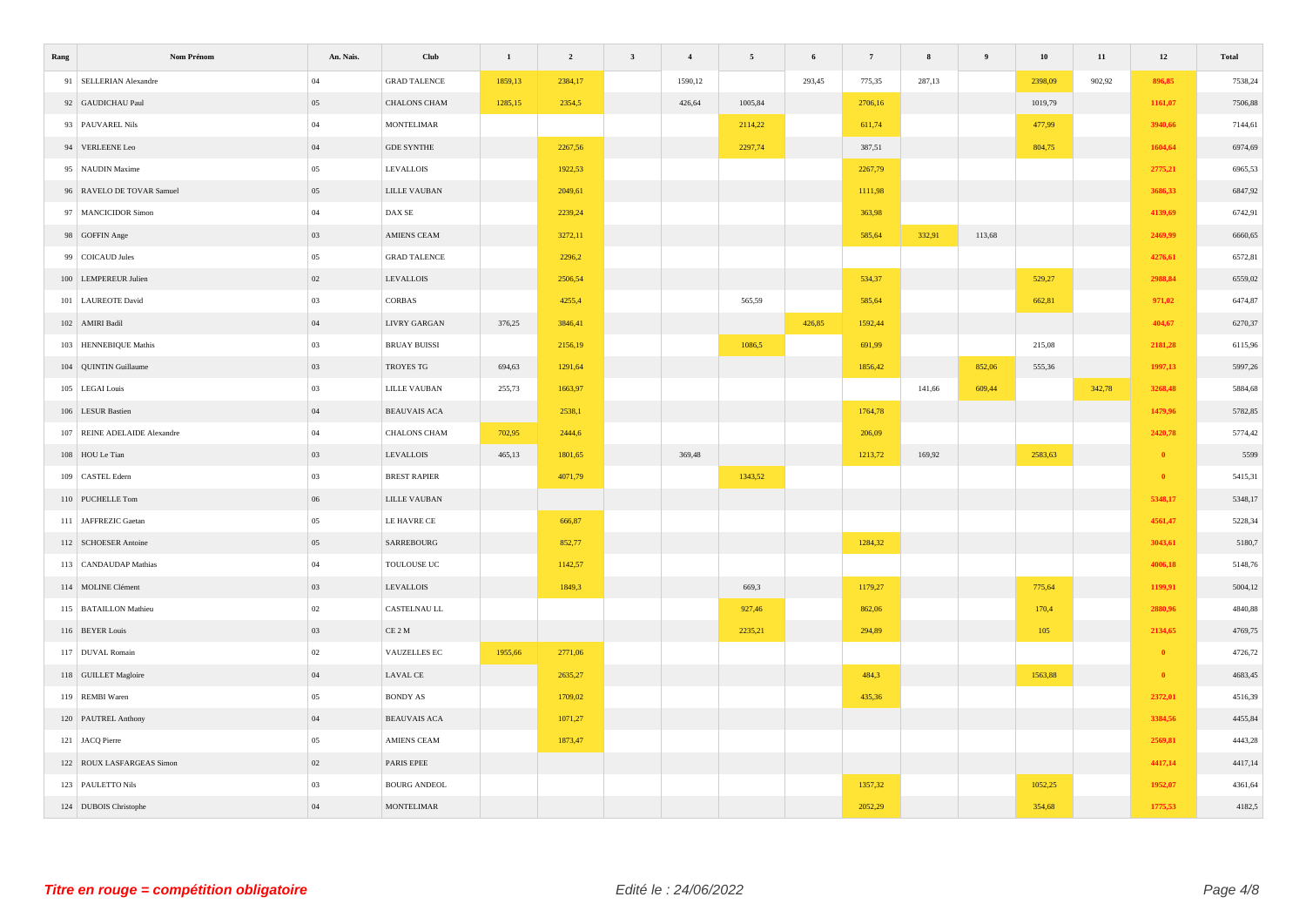| Rang | Nom Prénom                   | An. Nais. | Club                                                | $\mathbf{1}$ | $\overline{\mathbf{c}}$ | $\mathbf{3}$ | $\overline{4}$ | $\sqrt{5}$ | 6      | $7\phantom{.0}$ | $\bf 8$ | $\overline{9}$ | ${\bf 10}$ | $11\,$ | $12\,$    | Total   |
|------|------------------------------|-----------|-----------------------------------------------------|--------------|-------------------------|--------------|----------------|------------|--------|-----------------|---------|----------------|------------|--------|-----------|---------|
|      | 91 SELLERIAN Alexandre       | $04\,$    | <b>GRAD TALENCE</b>                                 | 1859,13      | 2384,17                 |              | 1590,12        |            | 293,45 | 775,35          | 287,13  |                | 2398,09    | 902,92 | 896,85    | 7538,24 |
|      | 92 GAUDICHAU Paul            | 05        | CHALONS CHAM                                        | 1285,15      | 2354,5                  |              | 426,64         | 1005,84    |        | 2706,16         |         |                | 1019,79    |        | 1161,07   | 7506,88 |
|      | 93 PAUVAREL Nils             | 04        | <b>MONTELIMAR</b>                                   |              |                         |              |                | 2114,22    |        | 611,74          |         |                | 477,99     |        | 3940,66   | 7144,61 |
|      | 94 VERLEENE Leo              | 04        | <b>GDE SYNTHE</b>                                   |              | 2267,56                 |              |                | 2297,74    |        | 387,51          |         |                | 804,75     |        | 1604,64   | 6974,69 |
|      | 95 NAUDIN Maxime             | $05\,$    | <b>LEVALLOIS</b>                                    |              | 1922,53                 |              |                |            |        | 2267,79         |         |                |            |        | 2775,21   | 6965,53 |
|      | 96 RAVELO DE TOVAR Samuel    | $05\,$    | LILLE VAUBAN                                        |              | 2049,61                 |              |                |            |        | 1111,98         |         |                |            |        | 3686,33   | 6847,92 |
|      | 97 MANCICIDOR Simon          | $04\,$    | $\mathop{\rm DAX}\nolimits\mathop{\rm SE}\nolimits$ |              | 2239,24                 |              |                |            |        | 363,98          |         |                |            |        | 4139,69   | 6742,91 |
|      | 98 GOFFIN Ange               | 03        | AMIENS CEAM                                         |              | 3272,11                 |              |                |            |        | 585,64          | 332,91  | 113,68         |            |        | 2469,99   | 6660,65 |
|      | 99 COICAUD Jules             | $05\,$    | <b>GRAD TALENCE</b>                                 |              | 2296,2                  |              |                |            |        |                 |         |                |            |        | 4276,61   | 6572,81 |
|      | 100 LEMPEREUR Julien         | 02        | <b>LEVALLOIS</b>                                    |              | 2506,54                 |              |                |            |        | 534,37          |         |                | 529,27     |        | 2988,84   | 6559,02 |
|      | 101 LAUREOTE David           | 03        | CORBAS                                              |              | 4255,4                  |              |                | 565,59     |        | 585,64          |         |                | 662,81     |        | 971,02    | 6474,87 |
|      | 102 AMIRI Badil              | 04        | <b>LIVRY GARGAN</b>                                 | 376,25       | 3846,41                 |              |                |            | 426,85 | 1592,44         |         |                |            |        | 404,67    | 6270,37 |
|      | 103 HENNEBIQUE Mathis        | 03        | <b>BRUAY BUISSI</b>                                 |              | 2156,19                 |              |                | 1086,5     |        | 691,99          |         |                | 215,08     |        | 2181,28   | 6115,96 |
|      | 104 QUINTIN Guillaume        | 03        | TROYES TG                                           | 694,63       | 1291,64                 |              |                |            |        | 1856,42         |         | 852,06         | 555,36     |        | 1997,13   | 5997,26 |
|      | 105 LEGAI Louis              | 03        | $\textsc{LILLE\ VAUBAN}$                            | 255,73       | 1663,97                 |              |                |            |        |                 | 141,66  | 609,44         |            | 342,78 | 3268,48   | 5884,68 |
|      | 106 LESUR Bastien            | 04        | <b>BEAUVAIS ACA</b>                                 |              | 2538,1                  |              |                |            |        | 1764,78         |         |                |            |        | 1479,96   | 5782,85 |
|      | 107 REINE ADELAIDE Alexandre | 04        | CHALONS CHAM                                        | 702,95       | 2444,6                  |              |                |            |        | 206,09          |         |                |            |        | 2420,78   | 5774,42 |
|      | 108 HOU Le Tian              | 03        | ${\rm LEVALUOS}$                                    | 465,13       | 1801,65                 |              | 369,48         |            |        | 1213,72         | 169,92  |                | 2583,63    |        | $\bullet$ | 5599    |
|      | 109 CASTEL Edern             | $03\,$    | <b>BREST RAPIER</b>                                 |              | 4071,79                 |              |                | 1343,52    |        |                 |         |                |            |        | $\bullet$ | 5415,31 |
|      | 110 PUCHELLE Tom             | $06\,$    | $\textsc{LILLE\ VAUBAN}$                            |              |                         |              |                |            |        |                 |         |                |            |        | 5348,17   | 5348,17 |
|      | 111 JAFFREZIC Gaetan         | 05        | LE HAVRE CE                                         |              | 666,87                  |              |                |            |        |                 |         |                |            |        | 4561,47   | 5228,34 |
|      | 112 SCHOESER Antoine         | $05\,$    | SARREBOURG                                          |              | 852,77                  |              |                |            |        | 1284,32         |         |                |            |        | 3043,61   | 5180,7  |
|      | 113 CANDAUDAP Mathias        | $04\,$    | $\operatorname{TOULOUSEUC}$                         |              | 1142,57                 |              |                |            |        |                 |         |                |            |        | 4006,18   | 5148,76 |
|      | 114 MOLINE Clément           | 03        | ${\rm LEVALUOS}$                                    |              | 1849,3                  |              |                | 669,3      |        | 1179,27         |         |                | 775,64     |        | 1199,91   | 5004,12 |
|      | 115 BATAILLON Mathieu        | $02\,$    | CASTELNAU LL                                        |              |                         |              |                | 927,46     |        | 862,06          |         |                | 170,4      |        | 2880,96   | 4840,88 |
|      | 116 BEYER Louis              | 03        | $\rm CE~2~M$                                        |              |                         |              |                | 2235,21    |        | 294,89          |         |                | 105        |        | 2134,65   | 4769,75 |
|      | 117 DUVAL Romain             | $02\,$    | VAUZELLES EC                                        | 1955,66      | 2771,06                 |              |                |            |        |                 |         |                |            |        | $\bullet$ | 4726,72 |
|      | 118 GUILLET Magloire         | $04\,$    | <b>LAVAL CE</b>                                     |              | 2635,27                 |              |                |            |        | 484,3           |         |                | 1563,88    |        | $\bullet$ | 4683,45 |
|      | 119 REMBI Waren              | 05        | <b>BONDY AS</b>                                     |              | 1709,02                 |              |                |            |        | 435,36          |         |                |            |        | 2372,01   | 4516,39 |
|      | 120 PAUTREL Anthony          | 04        | <b>BEAUVAIS ACA</b>                                 |              | 1071,27                 |              |                |            |        |                 |         |                |            |        | 3384,56   | 4455,84 |
|      | 121 JACQ Pierre              | $05\,$    | AMIENS CEAM                                         |              | 1873,47                 |              |                |            |        |                 |         |                |            |        | 2569,81   | 4443,28 |
|      | 122 ROUX LASFARGEAS Simon    | $02\,$    | PARIS EPEE                                          |              |                         |              |                |            |        |                 |         |                |            |        | 4417,14   | 4417,14 |
|      | 123 PAULETTO Nils            | $03\,$    | <b>BOURG ANDEOL</b>                                 |              |                         |              |                |            |        | 1357,32         |         |                | 1052,25    |        | 1952,07   | 4361,64 |
|      | 124 DUBOIS Christophe        | $04\,$    | <b>MONTELIMAR</b>                                   |              |                         |              |                |            |        | 2052,29         |         |                | 354,68     |        | 1775,53   | 4182,5  |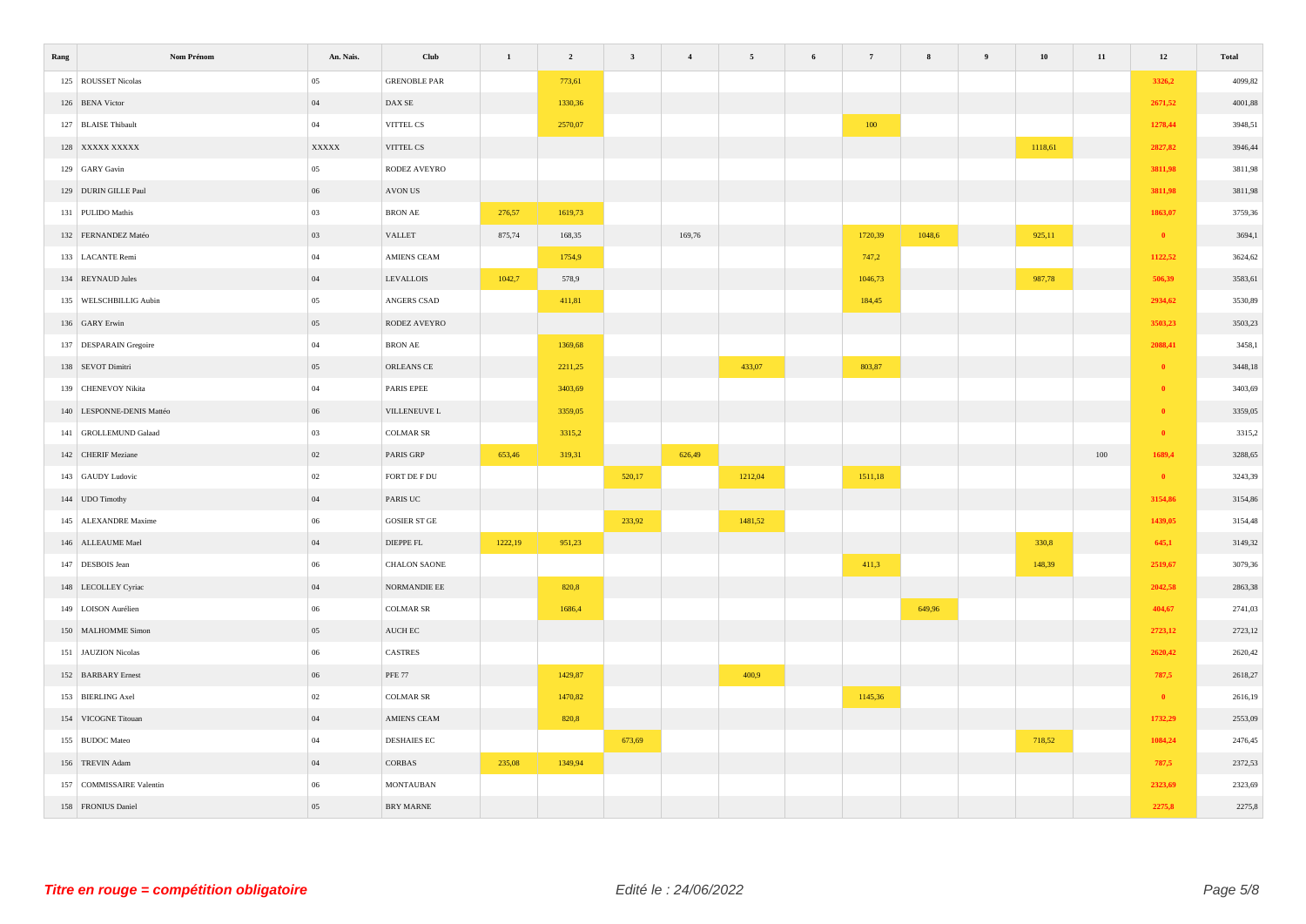| Rang | Nom Prénom                | An. Nais. | Club                     | $\,$ 1 $\,$ | $\overline{\mathbf{2}}$ | $\mathbf{3}$ | $\overline{\mathbf{4}}$ | $\overline{5}$ | 6 | $7\phantom{.0}$ | 8      | ${\bf 10}$ | $11\,$ | $12\,$       | Total   |
|------|---------------------------|-----------|--------------------------|-------------|-------------------------|--------------|-------------------------|----------------|---|-----------------|--------|------------|--------|--------------|---------|
|      | 125 ROUSSET Nicolas       | 05        | <b>GRENOBLE PAR</b>      |             | 773,61                  |              |                         |                |   |                 |        |            |        | 3326,2       | 4099,82 |
|      | 126 BENA Victor           | 04        | DAX SE                   |             | 1330,36                 |              |                         |                |   |                 |        |            |        | 2671,52      | 4001,88 |
|      | 127 BLAISE Thibault       | $04\,$    | VITTEL CS                |             | 2570,07                 |              |                         |                |   | 100             |        |            |        | 1278,44      | 3948,51 |
|      | 128 XXXXX XXXXX           | XXXXX     | VITTEL CS                |             |                         |              |                         |                |   |                 |        | 1118,61    |        | 2827,82      | 3946,44 |
|      | 129 GARY Gavin            | $05\,$    | RODEZ AVEYRO             |             |                         |              |                         |                |   |                 |        |            |        | 3811,98      | 3811,98 |
|      | 129 DURIN GILLE Paul      | 06        | AVON US                  |             |                         |              |                         |                |   |                 |        |            |        | 3811,98      | 3811,98 |
|      | 131 PULIDO Mathis         | 03        | $\operatorname{BRON}$ AE | 276,57      | 1619,73                 |              |                         |                |   |                 |        |            |        | 1863,07      | 3759,36 |
|      | 132 FERNANDEZ Matéo       | 03        | VALLET                   | 875,74      | 168,35                  |              | 169,76                  |                |   | 1720,39         | 1048,6 | 925,11     |        | $\bullet$    | 3694,1  |
|      | 133 LACANTE Remi          | $04\,$    | AMIENS CEAM              |             | 1754,9                  |              |                         |                |   | 747,2           |        |            |        | 1122,52      | 3624,62 |
|      | 134 REYNAUD Jules         | $04\,$    | <b>LEVALLOIS</b>         | 1042,7      | 578,9                   |              |                         |                |   | 1046,73         |        | 987,78     |        | 506,39       | 3583,61 |
|      | 135 WELSCHBILLIG Aubin    | $05\,$    | ANGERS CSAD              |             | 411,81                  |              |                         |                |   | 184,45          |        |            |        | 2934,62      | 3530,89 |
|      | 136 GARY Erwin            | 05        | RODEZ AVEYRO             |             |                         |              |                         |                |   |                 |        |            |        | 3503,23      | 3503,23 |
|      | 137 DESPARAIN Gregoire    | $04\,$    | BRON AE                  |             | 1369,68                 |              |                         |                |   |                 |        |            |        | 2088,41      | 3458,1  |
|      | 138 SEVOT Dimitri         | $05\,$    | ORLEANS CE               |             | 2211,25                 |              |                         | 433,07         |   | 803,87          |        |            |        | $\bullet$    | 3448,18 |
|      | 139 CHENEVOY Nikita       | $04\,$    | PARIS EPEE               |             | 3403,69                 |              |                         |                |   |                 |        |            |        | $\mathbf{0}$ | 3403,69 |
|      | 140 LESPONNE-DENIS Mattéo | 06        | VILLENEUVE L             |             | 3359,05                 |              |                         |                |   |                 |        |            |        | $\theta$     | 3359,05 |
|      | 141 GROLLEMUND Galaad     | 03        | <b>COLMAR SR</b>         |             | 3315,2                  |              |                         |                |   |                 |        |            |        | $\bullet$    | 3315,2  |
|      | 142 CHERIF Meziane        | 02        | PARIS GRP                | 653,46      | 319,31                  |              | 626,49                  |                |   |                 |        |            | 100    | 1689,4       | 3288,65 |
|      | 143 GAUDY Ludovic         | $02\,$    | FORT DE F DU             |             |                         | 520,17       |                         | 1212,04        |   | 1511,18         |        |            |        | $\bullet$    | 3243,39 |
|      | 144 UDO Timothy           | 04        | PARIS UC                 |             |                         |              |                         |                |   |                 |        |            |        | 3154,86      | 3154,86 |
|      | 145 ALEXANDRE Maxime      | $06\,$    | GOSIER ST GE             |             |                         | 233,92       |                         | 1481,52        |   |                 |        |            |        | 1439,05      | 3154,48 |
|      | 146 ALLEAUME Mael         | $04\,$    | DIEPPE FL                | 1222,19     | 951,23                  |              |                         |                |   |                 |        | 330,8      |        | 645,1        | 3149,32 |
|      | 147 DESBOIS Jean          | $06\,$    | CHALON SAONE             |             |                         |              |                         |                |   | 411,3           |        | 148,39     |        | 2519,67      | 3079,36 |
|      | 148 LECOLLEY Cyriac       | $04\,$    | ${\tt NORMAL DIE}$ EE    |             | 820,8                   |              |                         |                |   |                 |        |            |        | 2042,58      | 2863,38 |
|      | 149 LOISON Aurélien       | $06\,$    | <b>COLMAR SR</b>         |             | 1686,4                  |              |                         |                |   |                 | 649,96 |            |        | 404,67       | 2741,03 |
|      | 150 MALHOMME Simon        | 05        | AUCH EC                  |             |                         |              |                         |                |   |                 |        |            |        | 2723,12      | 2723,12 |
|      | 151 JAUZION Nicolas       | $06\,$    | CASTRES                  |             |                         |              |                         |                |   |                 |        |            |        | 2620,42      | 2620,42 |
|      | 152 BARBARY Ernest        | $06\,$    | <b>PFE 77</b>            |             | 1429,87                 |              |                         | 400,9          |   |                 |        |            |        | 787,5        | 2618,27 |
|      | 153 BIERLING Axel         | $02\,$    | <b>COLMAR SR</b>         |             | 1470,82                 |              |                         |                |   | 1145,36         |        |            |        | $\bullet$    | 2616,19 |
|      | 154 VICOGNE Titouan       | 04        | AMIENS CEAM              |             | 820,8                   |              |                         |                |   |                 |        |            |        | 1732,29      | 2553,09 |
|      | 155 BUDOC Mateo           | 04        | <b>DESHAIES EC</b>       |             |                         | 673,69       |                         |                |   |                 |        | 718,52     |        | 1084,24      | 2476,45 |
|      | 156 TREVIN Adam           | $04\,$    | CORBAS                   | 235,08      | 1349,94                 |              |                         |                |   |                 |        |            |        | 787,5        | 2372,53 |
|      | 157 COMMISSAIRE Valentin  | 06        | <b>MONTAUBAN</b>         |             |                         |              |                         |                |   |                 |        |            |        | 2323,69      | 2323,69 |
|      | 158 FRONIUS Daniel        | $05\,$    | BRY MARNE                |             |                         |              |                         |                |   |                 |        |            |        | 2275,8       | 2275,8  |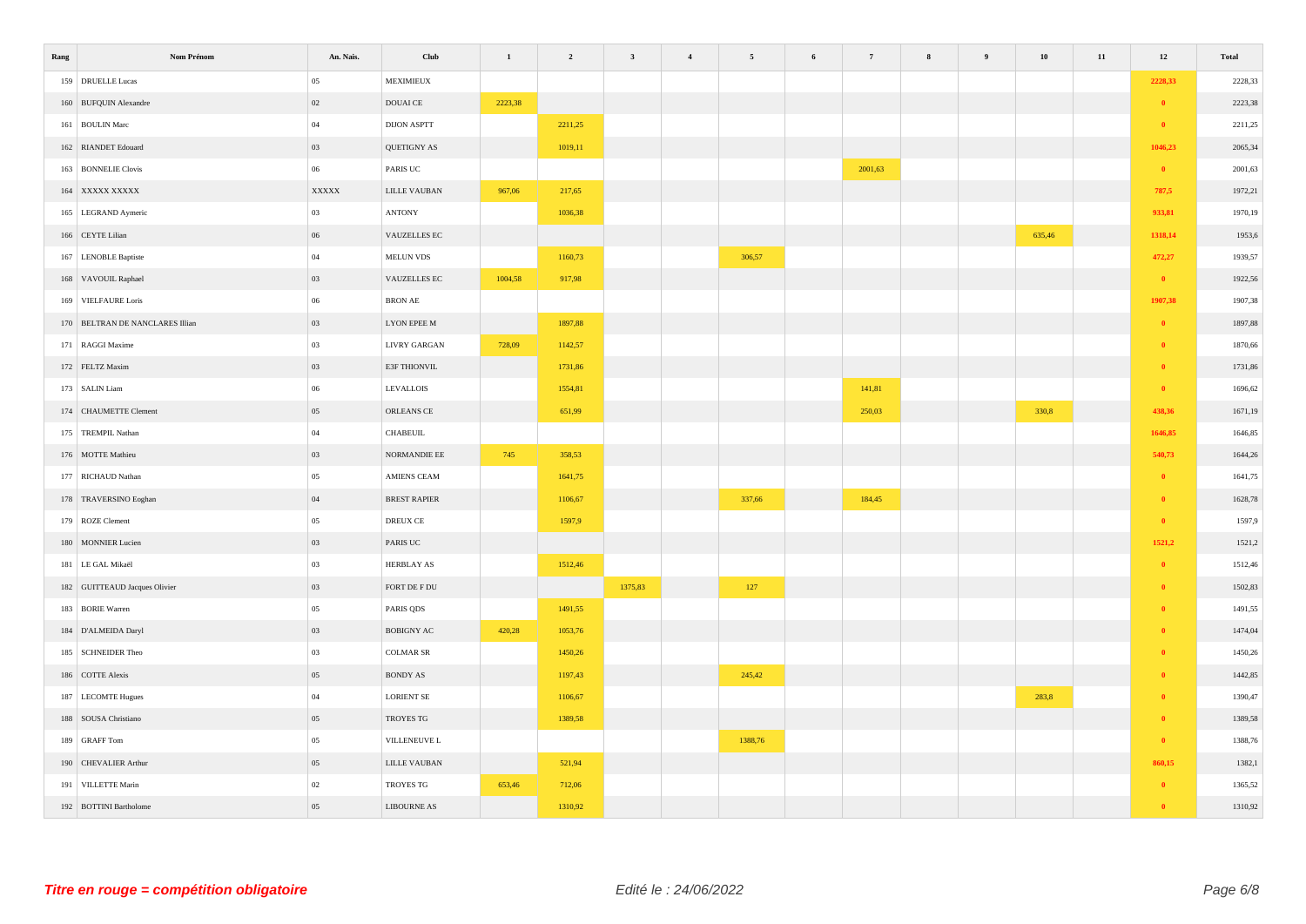| Rang | Nom Prénom                      | An. Nais.    | Club                        | $\,$ 1 $\,$ | $\overline{\mathbf{2}}$ | $\overline{\mathbf{3}}$ | $\overline{4}$ | $5\overline{5}$ | 6 | $7\phantom{.0}$ | 8 | 9 | 10     | $11\,$ | $12\,$       | <b>Total</b> |
|------|---------------------------------|--------------|-----------------------------|-------------|-------------------------|-------------------------|----------------|-----------------|---|-----------------|---|---|--------|--------|--------------|--------------|
|      | 159 DRUELLE Lucas               | 05           | <b>MEXIMIEUX</b>            |             |                         |                         |                |                 |   |                 |   |   |        |        | 2228,33      | 2228,33      |
|      | 160 BUFQUIN Alexandre           | 02           | DOUAI CE                    | 2223,38     |                         |                         |                |                 |   |                 |   |   |        |        | $\bullet$    | 2223,38      |
|      | 161 BOULIN Marc                 | $\,$ 04 $\,$ | DIJON ASPTT                 |             | 2211,25                 |                         |                |                 |   |                 |   |   |        |        | $\bullet$    | 2211,25      |
|      | 162 RIANDET Edouard             | 03           | QUETIGNY AS                 |             | 1019,11                 |                         |                |                 |   |                 |   |   |        |        | 1046,23      | 2065,34      |
|      | 163 BONNELIE Clovis             | $06\,$       | PARIS UC                    |             |                         |                         |                |                 |   | 2001,63         |   |   |        |        | $\bullet$    | 2001,63      |
|      | 164 XXXXX XXXXX                 | <b>XXXXX</b> | LILLE VAUBAN                | 967,06      | 217,65                  |                         |                |                 |   |                 |   |   |        |        | 787,5        | 1972,21      |
|      | 165 LEGRAND Aymeric             | 03           | $\operatorname{ANTONY}$     |             | 1036,38                 |                         |                |                 |   |                 |   |   |        |        | 933,81       | 1970,19      |
|      | 166 CEYTE Lilian                | 06           | VAUZELLES EC                |             |                         |                         |                |                 |   |                 |   |   | 635,46 |        | 1318,14      | 1953,6       |
|      | 167 LENOBLE Baptiste            | $04\,$       | $\operatorname{MELUN}$ VDS  |             | 1160,73                 |                         |                | 306,57          |   |                 |   |   |        |        | 472,27       | 1939,57      |
|      | 168 VAVOUIL Raphael             | 03           | VAUZELLES EC                | 1004,58     | 917,98                  |                         |                |                 |   |                 |   |   |        |        | $\bullet$    | 1922,56      |
|      | 169 VIELFAURE Loris             | $06\,$       | $\operatorname{BRON}$ AE    |             |                         |                         |                |                 |   |                 |   |   |        |        | 1907,38      | 1907,38      |
|      | 170 BELTRAN DE NANCLARES Illian | 03           | <b>LYON EPEE M</b>          |             | 1897,88                 |                         |                |                 |   |                 |   |   |        |        | $\bullet$    | 1897,88      |
|      | 171 RAGGI Maxime                | $03\,$       | LIVRY GARGAN                | 728,09      | 1142,57                 |                         |                |                 |   |                 |   |   |        |        | $\bullet$    | 1870,66      |
|      | 172 FELTZ Maxim                 | 03           | E3F THIONVIL                |             | 1731,86                 |                         |                |                 |   |                 |   |   |        |        | $\theta$     | 1731,86      |
|      | 173 SALIN Liam                  | $06\,$       | LEVALLOIS                   |             | 1554,81                 |                         |                |                 |   | 141,81          |   |   |        |        | $\bullet$    | 1696,62      |
|      | 174 CHAUMETTE Clement           | 05           | ORLEANS CE                  |             | 651,99                  |                         |                |                 |   | 250,03          |   |   | 330,8  |        | 438,36       | 1671,19      |
|      | 175 TREMPIL Nathan              | $04\,$       | CHABEUIL                    |             |                         |                         |                |                 |   |                 |   |   |        |        | 1646,85      | 1646,85      |
|      | 176 MOTTE Mathieu               | 03           | NORMANDIE EE                | 745         | 358,53                  |                         |                |                 |   |                 |   |   |        |        | 540,73       | 1644,26      |
|      | 177 RICHAUD Nathan              | $05\,$       | AMIENS CEAM                 |             | 1641,75                 |                         |                |                 |   |                 |   |   |        |        | $\bullet$    | 1641,75      |
|      | 178 TRAVERSINO Eoghan           | $04\,$       | <b>BREST RAPIER</b>         |             | 1106,67                 |                         |                | 337,66          |   | 184,45          |   |   |        |        | $\bullet$    | 1628,78      |
|      | 179 ROZE Clement                | 05           | DREUX CE                    |             | 1597,9                  |                         |                |                 |   |                 |   |   |        |        | $\bullet$    | 1597,9       |
|      | 180 MONNIER Lucien              | 03           | PARIS UC                    |             |                         |                         |                |                 |   |                 |   |   |        |        | 1521,2       | 1521,2       |
|      | 181 LE GAL Mikaël               | 03           | HERBLAY AS                  |             | 1512,46                 |                         |                |                 |   |                 |   |   |        |        | $\bullet$    | 1512,46      |
|      | 182 GUITTEAUD Jacques Olivier   | 03           | FORT DE F DU                |             |                         | 1375,83                 |                | 127             |   |                 |   |   |        |        | $\theta$     | 1502,83      |
|      | 183 BORIE Warren                | $05\,$       | PARIS QDS                   |             | 1491,55                 |                         |                |                 |   |                 |   |   |        |        | $\theta$     | 1491,55      |
|      | 184 D'ALMEIDA Daryl             | 03           | $\operatorname{BOBIGNY}$ AC | 420,28      | 1053,76                 |                         |                |                 |   |                 |   |   |        |        | $\theta$     | 1474,04      |
|      | 185 SCHNEIDER Theo              | $03\,$       | $\operatorname{COLMAR}$ SR  |             | 1450,26                 |                         |                |                 |   |                 |   |   |        |        | $\theta$     | 1450,26      |
|      | 186 COTTE Alexis                | 05           | BONDY AS                    |             | 1197,43                 |                         |                | 245,42          |   |                 |   |   |        |        | $\mathbf{0}$ | 1442,85      |
|      | 187 LECOMTE Hugues              | $\,$ 04 $\,$ | <b>LORIENT SE</b>           |             | 1106,67                 |                         |                |                 |   |                 |   |   | 283,8  |        | $\theta$     | 1390,47      |
|      | 188 SOUSA Christiano            | $05\,$       | TROYES TG                   |             | 1389,58                 |                         |                |                 |   |                 |   |   |        |        | $\theta$     | 1389,58      |
|      | 189 GRAFF Tom                   | 05           | VILLENEUVE L                |             |                         |                         |                | 1388,76         |   |                 |   |   |        |        | $\bullet$    | 1388,76      |
|      | 190 CHEVALIER Arthur            | 05           | $\textsc{LILLE\ VAUBAN}$    |             | 521,94                  |                         |                |                 |   |                 |   |   |        |        | 860,15       | 1382,1       |
|      | 191 VILLETTE Marin              | $02\,$       | TROYES TG                   | 653,46      | 712,06                  |                         |                |                 |   |                 |   |   |        |        | $\theta$     | 1365,52      |
|      | 192 BOTTINI Bartholome          | $05\,$       | <b>LIBOURNE AS</b>          |             | 1310,92                 |                         |                |                 |   |                 |   |   |        |        | $\theta$     | 1310,92      |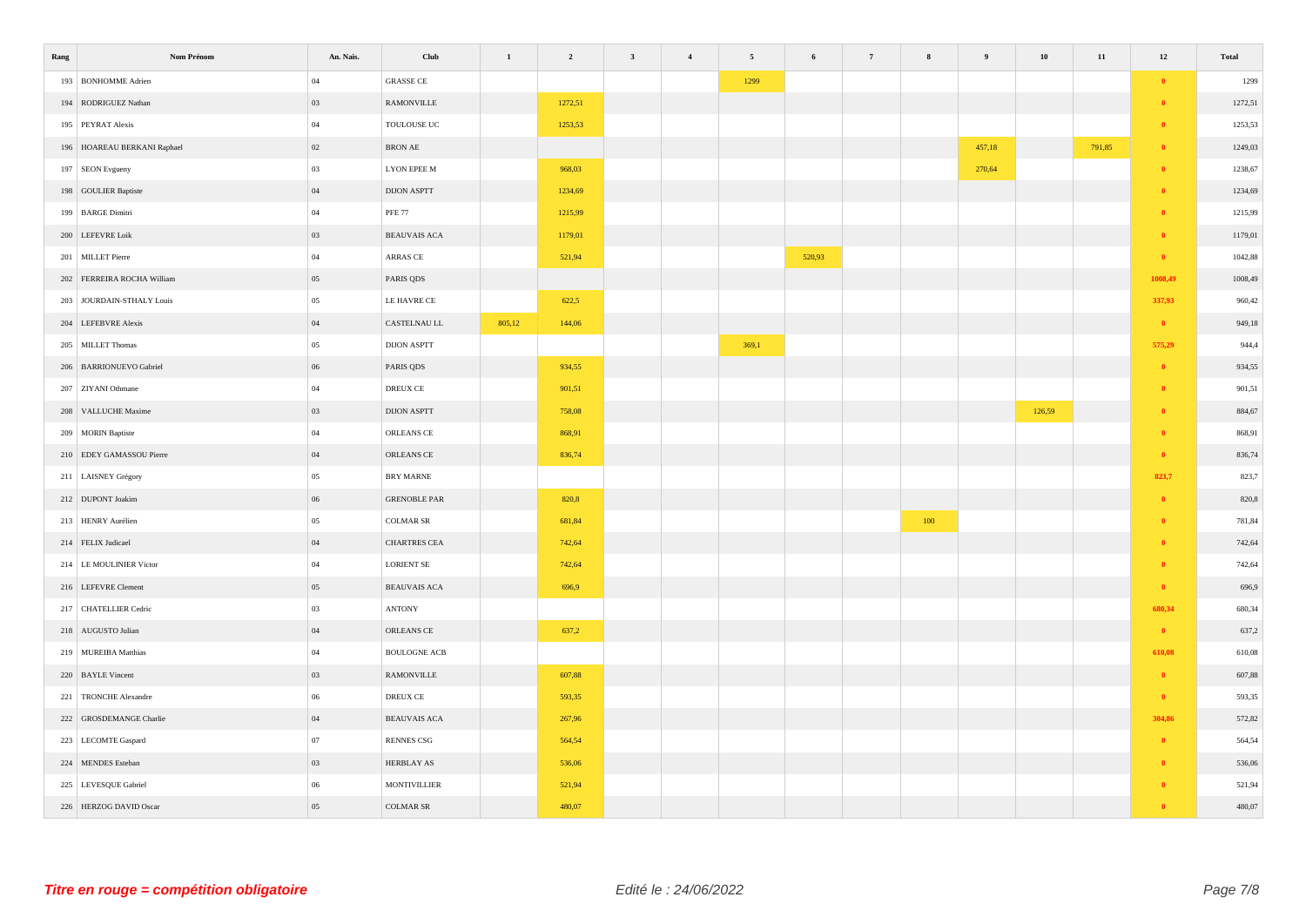| Rang                        | Nom Prénom | An. Nais. | Club                          | $\mathbf{1}$ | $\overline{2}$ | $\mathbf{3}$ | $\overline{4}$ | $\sqrt{5}$ | 6      | $7\phantom{.0}$ | ${\bf 8}$ | $\overline{9}$ | ${\bf 10}$ | $11\,$ | $12\,$       | Total   |
|-----------------------------|------------|-----------|-------------------------------|--------------|----------------|--------------|----------------|------------|--------|-----------------|-----------|----------------|------------|--------|--------------|---------|
| 193 BONHOMME Adrien         |            | $04\,$    | <b>GRASSE CE</b>              |              |                |              |                | 1299       |        |                 |           |                |            |        | $\bullet$    | 1299    |
| 194 RODRIGUEZ Nathan        |            | 03        | RAMONVILLE                    |              | 1272,51        |              |                |            |        |                 |           |                |            |        | $\bullet$    | 1272,51 |
| 195 PEYRAT Alexis           |            | $04\,$    | TOULOUSE UC                   |              | 1253,53        |              |                |            |        |                 |           |                |            |        | $\bullet$    | 1253,53 |
| 196 HOAREAU BERKANI Raphael |            | $02\,$    | BRON AE                       |              |                |              |                |            |        |                 |           | 457,18         |            | 791,85 | $\mathbf{0}$ | 1249,03 |
| 197 SEON Evgueny            |            | $03\,$    | <b>LYON EPEE M</b>            |              | 968,03         |              |                |            |        |                 |           | 270,64         |            |        | $\bullet$    | 1238,67 |
| 198 GOULIER Baptiste        |            | $04\,$    | <b>DIJON ASPTT</b>            |              | 1234,69        |              |                |            |        |                 |           |                |            |        | $\theta$     | 1234,69 |
| 199 BARGE Dimitri           |            | $04\,$    | <b>PFE 77</b>                 |              | 1215,99        |              |                |            |        |                 |           |                |            |        | $\mathbf{0}$ | 1215,99 |
| 200 LEFEVRE Loik            |            | 03        | <b>BEAUVAIS ACA</b>           |              | 1179,01        |              |                |            |        |                 |           |                |            |        | $\theta$     | 1179,01 |
| 201 MILLET Pierre           |            | 04        | ARRAS CE                      |              | 521,94         |              |                |            | 520,93 |                 |           |                |            |        | $\bullet$    | 1042,88 |
| 202 FERREIRA ROCHA William  |            | 05        | PARIS QDS                     |              |                |              |                |            |        |                 |           |                |            |        | 1008,49      | 1008,49 |
| 203 JOURDAIN-STHALY Louis   |            | $05\,$    | LE HAVRE CE                   |              | 622,5          |              |                |            |        |                 |           |                |            |        | 337,93       | 960,42  |
| 204 LEFEBVRE Alexis         |            | $04\,$    | CASTELNAU LL                  | 805,12       | 144,06         |              |                |            |        |                 |           |                |            |        | $\bullet$    | 949,18  |
| 205 MILLET Thomas           |            | 05        | <b>DIJON ASPTT</b>            |              |                |              |                | 369,1      |        |                 |           |                |            |        | 575,29       | 944,4   |
| 206 BARRIONUEVO Gabriel     |            | $06\,$    | PARIS QDS                     |              | 934,55         |              |                |            |        |                 |           |                |            |        | $\theta$     | 934,55  |
| 207 ZIYANI Othmane          |            | $04\,$    | $\operatorname*{DREUX}$ CE    |              | 901,51         |              |                |            |        |                 |           |                |            |        | $\theta$     | 901,51  |
| 208 VALLUCHE Maxime         |            | 03        | <b>DIJON ASPTT</b>            |              | 758,08         |              |                |            |        |                 |           |                | 126,59     |        | $\theta$     | 884,67  |
| 209 MORIN Baptiste          |            | $04\,$    | ORLEANS CE                    |              | 868,91         |              |                |            |        |                 |           |                |            |        | $\bullet$    | 868,91  |
| 210 EDEY GAMASSOU Pierre    |            | 04        | ORLEANS CE                    |              | 836,74         |              |                |            |        |                 |           |                |            |        | $\bullet$    | 836,74  |
| 211 LAISNEY Grégory         |            | $05\,$    | <b>BRY MARNE</b>              |              |                |              |                |            |        |                 |           |                |            |        | 823,7        | 823,7   |
| 212 DUPONT Joakim           |            | $06\,$    | <b>GRENOBLE PAR</b>           |              | 820,8          |              |                |            |        |                 |           |                |            |        | $\bullet$    | 820,8   |
| 213 HENRY Aurélien          |            | $05\,$    | <b>COLMAR SR</b>              |              | 681,84         |              |                |            |        |                 | 100       |                |            |        | $\theta$     | 781,84  |
| 214 FELIX Judicael          |            | $04\,$    | CHARTRES CEA                  |              | 742,64         |              |                |            |        |                 |           |                |            |        | $\theta$     | 742,64  |
| 214 LE MOULINIER Victor     |            | $04\,$    | <b>LORIENT SE</b>             |              | 742,64         |              |                |            |        |                 |           |                |            |        | $\theta$     | 742,64  |
| 216 LEFEVRE Clement         |            | $05\,$    | BEAUVAIS ACA                  |              | 696,9          |              |                |            |        |                 |           |                |            |        | $\mathbf{0}$ | 696,9   |
| 217 CHATELLIER Cedric       |            | 03        | <b>ANTONY</b>                 |              |                |              |                |            |        |                 |           |                |            |        | 680,34       | 680,34  |
| 218 AUGUSTO Julian          |            | 04        | ORLEANS CE                    |              | 637,2          |              |                |            |        |                 |           |                |            |        | $\bullet$    | 637,2   |
| 219 MUREIBA Matthias        |            | 04        | $\operatorname{BOLLOGNE}$ ACB |              |                |              |                |            |        |                 |           |                |            |        | 610,08       | 610,08  |
| 220 BAYLE Vincent           |            | 03        | $\operatorname{RAMONVILLE}$   |              | 607,88         |              |                |            |        |                 |           |                |            |        | $\bullet$    | 607,88  |
| 221 TRONCHE Alexandre       |            | $06\,$    | DREUX CE                      |              | 593,35         |              |                |            |        |                 |           |                |            |        | $\bullet$    | 593,35  |
| 222 GROSDEMANGE Charlie     |            | $04\,$    | <b>BEAUVAIS ACA</b>           |              | 267,96         |              |                |            |        |                 |           |                |            |        | 304,86       | 572,82  |
| 223 LECOMTE Gaspard         |            | 07        | <b>RENNES CSG</b>             |              | 564,54         |              |                |            |        |                 |           |                |            |        | $\bullet$    | 564,54  |
| 224 MENDES Esteban          |            | 03        | HERBLAY AS                    |              | 536,06         |              |                |            |        |                 |           |                |            |        | $\mathbf{0}$ | 536,06  |
| 225 LEVESQUE Gabriel        |            | 06        | <b>MONTIVILLIER</b>           |              | 521,94         |              |                |            |        |                 |           |                |            |        | $\theta$     | 521,94  |
| 226 HERZOG DAVID Oscar      |            | $05\,$    | <b>COLMAR SR</b>              |              | 480,07         |              |                |            |        |                 |           |                |            |        | $\theta$     | 480,07  |